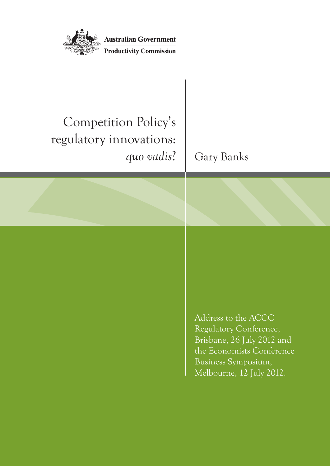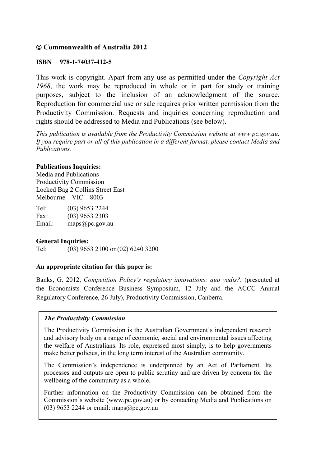#### **Commonwealth of Australia 2012**

#### **ISBN 978-1-74037-412-5**

This work is copyright. Apart from any use as permitted under the *Copyright Act 1968*, the work may be reproduced in whole or in part for study or training purposes, subject to the inclusion of an acknowledgment of the source. Reproduction for commercial use or sale requires prior written permission from the Productivity Commission. Requests and inquiries concerning reproduction and rights should be addressed to Media and Publications (see below).

*This publication is available from the Productivity Commission website at www.pc.gov.au. If you require part or all of this publication in a different format, please contact Media and Publications.* 

#### **Publications Inquiries:**

Media and Publications Productivity Commission Locked Bag 2 Collins Street East Melbourne VIC 8003

| Tel:   | $(03)$ 9653 2244 |
|--------|------------------|
| Fax:   | $(03)$ 9653 2303 |
| Email: | maps@pc.gov.au   |

#### **General Inquiries:**

Tel: (03) 9653 2100 or (02) 6240 3200

#### **An appropriate citation for this paper is:**

Banks, G. 2012, *Competition Policy's regulatory innovations: quo vadis?*, (presented at the Economists Conference Business Symposium, 12 July and the ACCC Annual Regulatory Conference, 26 July), Productivity Commission, Canberra.

#### *The Productivity Commission*

The Productivity Commission is the Australian Government's independent research and advisory body on a range of economic, social and environmental issues affecting the welfare of Australians. Its role, expressed most simply, is to help governments make better policies, in the long term interest of the Australian community.

The Commission's independence is underpinned by an Act of Parliament. Its processes and outputs are open to public scrutiny and are driven by concern for the wellbeing of the community as a whole.

Further information on the Productivity Commission can be obtained from the Commission's website (www.pc.gov.au) or by contacting Media and Publications on (03) 9653 2244 or email: maps $@$ pc.gov.au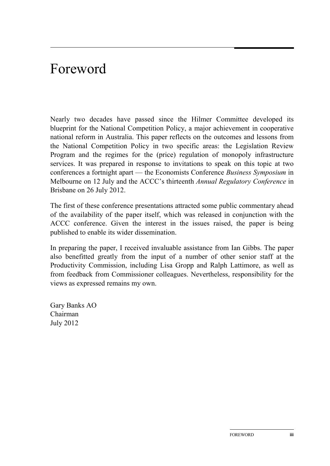## Foreword

Nearly two decades have passed since the Hilmer Committee developed its blueprint for the National Competition Policy, a major achievement in cooperative national reform in Australia. This paper reflects on the outcomes and lessons from the National Competition Policy in two specific areas: the Legislation Review Program and the regimes for the (price) regulation of monopoly infrastructure services. It was prepared in response to invitations to speak on this topic at two conferences a fortnight apart — the Economists Conference *Business Symposium* in Melbourne on 12 July and the ACCC's thirteenth *Annual Regulatory Conference* in Brisbane on 26 July 2012.

The first of these conference presentations attracted some public commentary ahead of the availability of the paper itself, which was released in conjunction with the ACCC conference. Given the interest in the issues raised, the paper is being published to enable its wider dissemination.

In preparing the paper, I received invaluable assistance from Ian Gibbs. The paper also benefitted greatly from the input of a number of other senior staff at the Productivity Commission, including Lisa Gropp and Ralph Lattimore, as well as from feedback from Commissioner colleagues. Nevertheless, responsibility for the views as expressed remains my own.

Gary Banks AO Chairman July 2012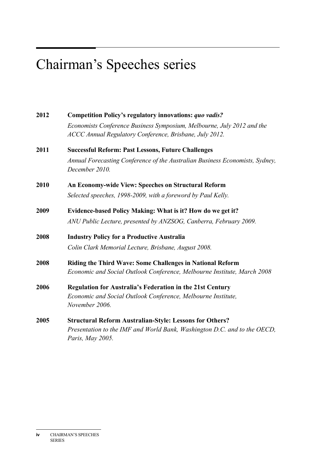# Chairman's Speeches series

| 2012 | <b>Competition Policy's regulatory innovations: quo vadis?</b>                                                                              |
|------|---------------------------------------------------------------------------------------------------------------------------------------------|
|      | Economists Conference Business Symposium, Melbourne, July 2012 and the<br>ACCC Annual Regulatory Conference, Brisbane, July 2012.           |
| 2011 | <b>Successful Reform: Past Lessons, Future Challenges</b>                                                                                   |
|      | Annual Forecasting Conference of the Australian Business Economists, Sydney,<br>December 2010.                                              |
| 2010 | An Economy-wide View: Speeches on Structural Reform                                                                                         |
|      | Selected speeches, 1998-2009, with a foreword by Paul Kelly.                                                                                |
| 2009 | Evidence-based Policy Making: What is it? How do we get it?                                                                                 |
|      | ANU Public Lecture, presented by ANZSOG, Canberra, February 2009.                                                                           |
| 2008 | <b>Industry Policy for a Productive Australia</b>                                                                                           |
|      | Colin Clark Memorial Lecture, Brisbane, August 2008.                                                                                        |
| 2008 | <b>Riding the Third Wave: Some Challenges in National Reform</b><br>Economic and Social Outlook Conference, Melbourne Institute, March 2008 |
| 2006 | <b>Regulation for Australia's Federation in the 21st Century</b>                                                                            |
|      | Economic and Social Outlook Conference, Melbourne Institute,<br>November 2006.                                                              |
| 2005 | <b>Structural Reform Australian-Style: Lessons for Others?</b>                                                                              |
|      | Presentation to the IMF and World Bank, Washington D.C. and to the OECD,                                                                    |

 *Paris, May 2005.*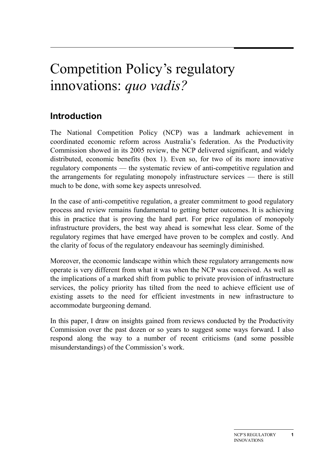## Competition Policy's regulatory innovations: *quo vadis?*

## **Introduction**

The National Competition Policy (NCP) was a landmark achievement in coordinated economic reform across Australia's federation. As the Productivity Commission showed in its 2005 review, the NCP delivered significant, and widely distributed, economic benefits (box 1). Even so, for two of its more innovative regulatory components — the systematic review of anti-competitive regulation and the arrangements for regulating monopoly infrastructure services — there is still much to be done, with some key aspects unresolved.

In the case of anti-competitive regulation, a greater commitment to good regulatory process and review remains fundamental to getting better outcomes. It is achieving this in practice that is proving the hard part. For price regulation of monopoly infrastructure providers, the best way ahead is somewhat less clear. Some of the regulatory regimes that have emerged have proven to be complex and costly. And the clarity of focus of the regulatory endeavour has seemingly diminished.

Moreover, the economic landscape within which these regulatory arrangements now operate is very different from what it was when the NCP was conceived. As well as the implications of a marked shift from public to private provision of infrastructure services, the policy priority has tilted from the need to achieve efficient use of existing assets to the need for efficient investments in new infrastructure to accommodate burgeoning demand.

In this paper, I draw on insights gained from reviews conducted by the Productivity Commission over the past dozen or so years to suggest some ways forward. I also respond along the way to a number of recent criticisms (and some possible misunderstandings) of the Commission's work.

**1**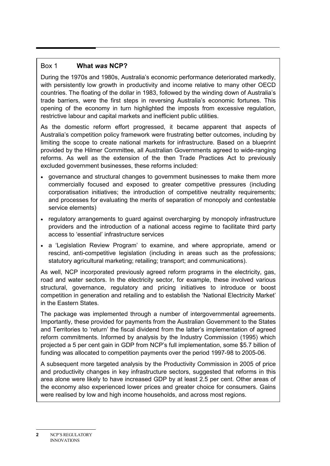#### Box 1 **What** *was* **NCP?**

During the 1970s and 1980s, Australia's economic performance deteriorated markedly, with persistently low growth in productivity and income relative to many other OECD countries. The floating of the dollar in 1983, followed by the winding down of Australia's trade barriers, were the first steps in reversing Australia's economic fortunes. This opening of the economy in turn highlighted the imposts from excessive regulation, restrictive labour and capital markets and inefficient public utilities.

As the domestic reform effort progressed, it became apparent that aspects of Australia's competition policy framework were frustrating better outcomes, including by limiting the scope to create national markets for infrastructure. Based on a blueprint provided by the Hilmer Committee, all Australian Governments agreed to wide-ranging reforms. As well as the extension of the then Trade Practices Act to previously excluded government businesses, these reforms included:

- governance and structural changes to government businesses to make them more commercially focused and exposed to greater competitive pressures (including corporatisation initiatives; the introduction of competitive neutrality requirements; and processes for evaluating the merits of separation of monopoly and contestable service elements)
- regulatory arrangements to guard against overcharging by monopoly infrastructure providers and the introduction of a national access regime to facilitate third party access to 'essential' infrastructure services
- a 'Legislation Review Program' to examine, and where appropriate, amend or rescind, anti-competitive legislation (including in areas such as the professions; statutory agricultural marketing; retailing; transport; and communications).

As well, NCP incorporated previously agreed reform programs in the electricity, gas, road and water sectors. In the electricity sector, for example, these involved various structural, governance, regulatory and pricing initiatives to introduce or boost competition in generation and retailing and to establish the 'National Electricity Market' in the Eastern States.

The package was implemented through a number of intergovernmental agreements. Importantly, these provided for payments from the Australian Government to the States and Territories to 'return' the fiscal dividend from the latter's implementation of agreed reform commitments. Informed by analysis by the Industry Commission (1995) which projected a 5 per cent gain in GDP from NCP's full implementation, some \$5.7 billion of funding was allocated to competition payments over the period 1997-98 to 2005-06.

A subsequent more targeted analysis by the Productivity Commission in 2005 of price and productivity changes in key infrastructure sectors, suggested that reforms in this area alone were likely to have increased GDP by at least 2.5 per cent. Other areas of the economy also experienced lower prices and greater choice for consumers. Gains were realised by low and high income households, and across most regions.

<sup>2</sup> NCP'S REGULATORY INNOVATIONS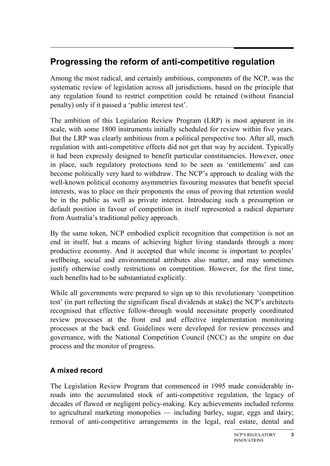### **Progressing the reform of anti-competitive regulation**

Among the most radical, and certainly ambitious, components of the NCP, was the systematic review of legislation across all jurisdictions, based on the principle that any regulation found to restrict competition could be retained (without financial penalty) only if it passed a 'public interest test'.

The ambition of this Legislation Review Program (LRP) is most apparent in its scale, with some 1800 instruments initially scheduled for review within five years. But the LRP was clearly ambitious from a political perspective too. After all, much regulation with anti-competitive effects did not get that way by accident. Typically it had been expressly designed to benefit particular constituencies. However, once in place, such regulatory protections tend to be seen as 'entitlements' and can become politically very hard to withdraw. The NCP's approach to dealing with the well-known political economy asymmetries favouring measures that benefit special interests, was to place on their proponents the onus of proving that retention would be in the public as well as private interest. Introducing such a presumption or default position in favour of competition in itself represented a radical departure from Australia's traditional policy approach.

By the same token, NCP embodied explicit recognition that competition is not an end in itself, but a means of achieving higher living standards through a more productive economy. And it accepted that while income is important to peoples' wellbeing, social and environmental attributes also matter, and may sometimes justify otherwise costly restrictions on competition. However, for the first time, such benefits had to be substantiated explicitly.

While all governments were prepared to sign up to this revolutionary 'competition test' (in part reflecting the significant fiscal dividends at stake) the NCP's architects recognised that effective follow-through would necessitate properly coordinated review processes at the front end and effective implementation monitoring processes at the back end. Guidelines were developed for review processes and governance, with the National Competition Council (NCC) as the umpire on due process and the monitor of progress.

#### **A mixed record**

The Legislation Review Program that commenced in 1995 made considerable inroads into the accumulated stock of anti-competitive regulation, the legacy of decades of flawed or negligent policy-making. Key achievements included reforms to agricultural marketing monopolies — including barley, sugar, eggs and dairy; removal of anti-competitive arrangements in the legal, real estate, dental and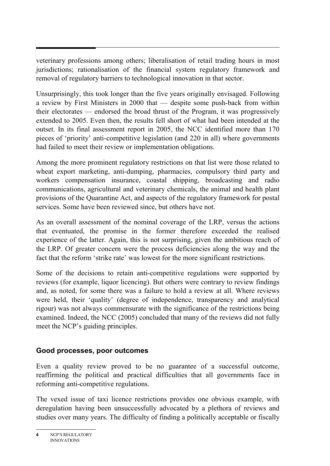veterinary professions among others; liberalisation of retail trading hours in most jurisdictions; rationalisation of the financial system regulatory framework and removal of regulatory barriers to technological innovation in that sector.

Unsurprisingly, this took longer than the five years originally envisaged. Following a review by First Ministers in 2000 that — despite some push-back from within their electorates — endorsed the broad thrust of the Program, it was progressively extended to 2005. Even then, the results fell short of what had been intended at the outset. In its final assessment report in 2005, the NCC identified more than 170 pieces of 'priority' anti-competitive legislation (and 220 in all) where governments had failed to meet their review or implementation obligations.

Among the more prominent regulatory restrictions on that list were those related to wheat export marketing, anti-dumping, pharmacies, compulsory third party and workers compensation insurance, coastal shipping, broadcasting and radio communications, agricultural and veterinary chemicals, the animal and health plant provisions of the Quarantine Act, and aspects of the regulatory framework for postal services. Some have been reviewed since, but others have not.

As an overall assessment of the nominal coverage of the LRP, versus the actions that eventuated, the promise in the former therefore exceeded the realised experience of the latter. Again, this is not surprising, given the ambitious reach of the LRP. Of greater concern were the process deficiencies along the way and the fact that the reform 'strike rate' was lowest for the more significant restrictions.

Some of the decisions to retain anti-competitive regulations were supported by reviews (for example, liquor licencing). But others were contrary to review findings and, as noted, for some there was a failure to hold a review at all. Where reviews were held, their 'quality' (degree of independence, transparency and analytical rigour) was not always commensurate with the significance of the restrictions being examined. Indeed, the NCC (2005) concluded that many of the reviews did not fully meet the NCP's guiding principles.

#### **Good processes, poor outcomes**

Even a quality review proved to be no guarantee of a successful outcome, reaffirming the political and practical difficulties that all governments face in reforming anti-competitive regulations.

The vexed issue of taxi licence restrictions provides one obvious example, with deregulation having been unsuccessfully advocated by a plethora of reviews and studies over many years. The difficulty of finding a politically acceptable or fiscally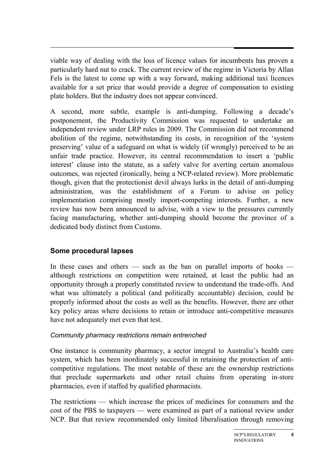viable way of dealing with the loss of licence values for incumbents has proven a particularly hard nut to crack. The current review of the regime in Victoria by Allan Fels is the latest to come up with a way forward, making additional taxi licences available for a set price that would provide a degree of compensation to existing plate holders. But the industry does not appear convinced.

A second, more subtle, example is anti-dumping. Following a decade's postponement, the Productivity Commission was requested to undertake an independent review under LRP rules in 2009. The Commission did not recommend abolition of the regime, notwithstanding its costs, in recognition of the 'system preserving' value of a safeguard on what is widely (if wrongly) perceived to be an unfair trade practice. However, its central recommendation to insert a 'public interest' clause into the statute, as a safety valve for averting certain anomalous outcomes, was rejected (ironically, being a NCP-related review). More problematic though, given that the protectionist devil always lurks in the detail of anti-dumping administration, was the establishment of a Forum to advise on policy implementation comprising mostly import-competing interests. Further, a new review has now been announced to advise, with a view to the pressures currently facing manufacturing, whether anti-dumping should become the province of a dedicated body distinct from Customs.

#### **Some procedural lapses**

In these cases and others — such as the ban on parallel imports of books although restrictions on competition were retained, at least the public had an opportunity through a properly constituted review to understand the trade-offs. And what was ultimately a political (and politically accountable) decision, could be properly informed about the costs as well as the benefits. However, there are other key policy areas where decisions to retain or introduce anti-competitive measures have not adequately met even that test.

#### *Community pharmacy restrictions remain entrenched*

One instance is community pharmacy, a sector integral to Australia's health care system, which has been inordinately successful in retaining the protection of anticompetitive regulations. The most notable of these are the ownership restrictions that preclude supermarkets and other retail chains from operating in-store pharmacies, even if staffed by qualified pharmacists.

The restrictions — which increase the prices of medicines for consumers and the cost of the PBS to taxpayers — were examined as part of a national review under NCP. But that review recommended only limited liberalisation through removing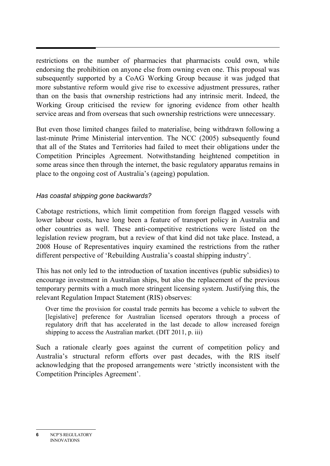restrictions on the number of pharmacies that pharmacists could own, while endorsing the prohibition on anyone else from owning even one. This proposal was subsequently supported by a CoAG Working Group because it was judged that more substantive reform would give rise to excessive adjustment pressures, rather than on the basis that ownership restrictions had any intrinsic merit. Indeed, the Working Group criticised the review for ignoring evidence from other health service areas and from overseas that such ownership restrictions were unnecessary.

But even those limited changes failed to materialise, being withdrawn following a last-minute Prime Ministerial intervention. The NCC (2005) subsequently found that all of the States and Territories had failed to meet their obligations under the Competition Principles Agreement. Notwithstanding heightened competition in some areas since then through the internet, the basic regulatory apparatus remains in place to the ongoing cost of Australia's (ageing) population.

#### *Has coastal shipping gone backwards?*

Cabotage restrictions, which limit competition from foreign flagged vessels with lower labour costs, have long been a feature of transport policy in Australia and other countries as well. These anti-competitive restrictions were listed on the legislation review program, but a review of that kind did not take place. Instead, a 2008 House of Representatives inquiry examined the restrictions from the rather different perspective of 'Rebuilding Australia's coastal shipping industry'.

This has not only led to the introduction of taxation incentives (public subsidies) to encourage investment in Australian ships, but also the replacement of the previous temporary permits with a much more stringent licensing system. Justifying this, the relevant Regulation Impact Statement (RIS) observes:

Over time the provision for coastal trade permits has become a vehicle to subvert the [legislative] preference for Australian licensed operators through a process of regulatory drift that has accelerated in the last decade to allow increased foreign shipping to access the Australian market. (DIT 2011, p. iii)

Such a rationale clearly goes against the current of competition policy and Australia's structural reform efforts over past decades, with the RIS itself acknowledging that the proposed arrangements were 'strictly inconsistent with the Competition Principles Agreement'.

**<sup>6</sup>** NCP'S REGULATORY INNOVATIONS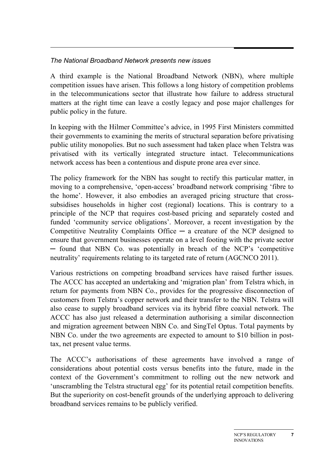#### *The National Broadband Network presents new issues*

A third example is the National Broadband Network (NBN), where multiple competition issues have arisen. This follows a long history of competition problems in the telecommunications sector that illustrate how failure to address structural matters at the right time can leave a costly legacy and pose major challenges for public policy in the future.

In keeping with the Hilmer Committee's advice, in 1995 First Ministers committed their governments to examining the merits of structural separation before privatising public utility monopolies. But no such assessment had taken place when Telstra was privatised with its vertically integrated structure intact. Telecommunications network access has been a contentious and dispute prone area ever since.

The policy framework for the NBN has sought to rectify this particular matter, in moving to a comprehensive, 'open-access' broadband network comprising 'fibre to the home'. However, it also embodies an averaged pricing structure that crosssubsidises households in higher cost (regional) locations. This is contrary to a principle of the NCP that requires cost-based pricing and separately costed and funded 'community service obligations'. Moreover, a recent investigation by the Competitive Neutrality Complaints Office  $-$  a creature of the NCP designed to ensure that government businesses operate on a level footing with the private sector ─ found that NBN Co. was potentially in breach of the NCP's 'competitive neutrality' requirements relating to its targeted rate of return (AGCNCO 2011).

Various restrictions on competing broadband services have raised further issues. The ACCC has accepted an undertaking and 'migration plan' from Telstra which, in return for payments from NBN Co., provides for the progressive disconnection of customers from Telstra's copper network and their transfer to the NBN. Telstra will also cease to supply broadband services via its hybrid fibre coaxial network. The ACCC has also just released a determination authorising a similar disconnection and migration agreement between NBN Co. and SingTel Optus. Total payments by NBN Co. under the two agreements are expected to amount to \$10 billion in posttax, net present value terms.

The ACCC's authorisations of these agreements have involved a range of considerations about potential costs versus benefits into the future, made in the context of the Government's commitment to rolling out the new network and 'unscrambling the Telstra structural egg' for its potential retail competition benefits. But the superiority on cost-benefit grounds of the underlying approach to delivering broadband services remains to be publicly verified.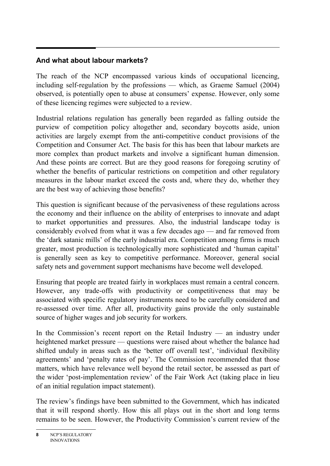#### **And what about labour markets?**

The reach of the NCP encompassed various kinds of occupational licencing, including self-regulation by the professions — which, as Graeme Samuel (2004) observed, is potentially open to abuse at consumers' expense. However, only some of these licencing regimes were subjected to a review.

Industrial relations regulation has generally been regarded as falling outside the purview of competition policy altogether and, secondary boycotts aside, union activities are largely exempt from the anti-competitive conduct provisions of the Competition and Consumer Act. The basis for this has been that labour markets are more complex than product markets and involve a significant human dimension. And these points are correct. But are they good reasons for foregoing scrutiny of whether the benefits of particular restrictions on competition and other regulatory measures in the labour market exceed the costs and, where they do, whether they are the best way of achieving those benefits?

This question is significant because of the pervasiveness of these regulations across the economy and their influence on the ability of enterprises to innovate and adapt to market opportunities and pressures. Also, the industrial landscape today is considerably evolved from what it was a few decades ago — and far removed from the 'dark satanic mills' of the early industrial era. Competition among firms is much greater, most production is technologically more sophisticated and 'human capital' is generally seen as key to competitive performance. Moreover, general social safety nets and government support mechanisms have become well developed.

Ensuring that people are treated fairly in workplaces must remain a central concern. However, any trade-offs with productivity or competitiveness that may be associated with specific regulatory instruments need to be carefully considered and re-assessed over time. After all, productivity gains provide the only sustainable source of higher wages and job security for workers.

In the Commission's recent report on the Retail Industry  $-$  an industry under heightened market pressure — questions were raised about whether the balance had shifted unduly in areas such as the 'better off overall test', 'individual flexibility agreements' and 'penalty rates of pay'. The Commission recommended that those matters, which have relevance well beyond the retail sector, be assessed as part of the wider 'post-implementation review' of the Fair Work Act (taking place in lieu of an initial regulation impact statement).

The review's findings have been submitted to the Government, which has indicated that it will respond shortly. How this all plays out in the short and long terms remains to be seen. However, the Productivity Commission's current review of the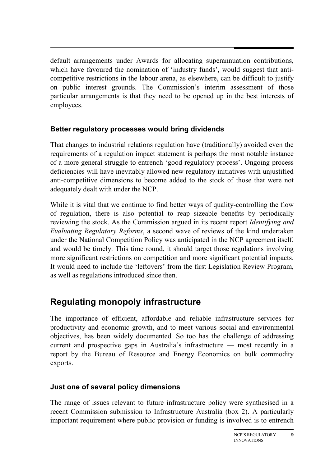default arrangements under Awards for allocating superannuation contributions, which have favoured the nomination of 'industry funds', would suggest that anticompetitive restrictions in the labour arena, as elsewhere, can be difficult to justify on public interest grounds. The Commission's interim assessment of those particular arrangements is that they need to be opened up in the best interests of employees.

#### **Better regulatory processes would bring dividends**

That changes to industrial relations regulation have (traditionally) avoided even the requirements of a regulation impact statement is perhaps the most notable instance of a more general struggle to entrench 'good regulatory process'. Ongoing process deficiencies will have inevitably allowed new regulatory initiatives with unjustified anti-competitive dimensions to become added to the stock of those that were not adequately dealt with under the NCP.

While it is vital that we continue to find better ways of quality-controlling the flow of regulation, there is also potential to reap sizeable benefits by periodically reviewing the stock. As the Commission argued in its recent report *Identifying and Evaluating Regulatory Reforms*, a second wave of reviews of the kind undertaken under the National Competition Policy was anticipated in the NCP agreement itself, and would be timely. This time round, it should target those regulations involving more significant restrictions on competition and more significant potential impacts. It would need to include the 'leftovers' from the first Legislation Review Program, as well as regulations introduced since then.

## **Regulating monopoly infrastructure**

The importance of efficient, affordable and reliable infrastructure services for productivity and economic growth, and to meet various social and environmental objectives, has been widely documented. So too has the challenge of addressing current and prospective gaps in Australia's infrastructure — most recently in a report by the Bureau of Resource and Energy Economics on bulk commodity exports.

#### **Just one of several policy dimensions**

The range of issues relevant to future infrastructure policy were synthesised in a recent Commission submission to Infrastructure Australia (box 2). A particularly important requirement where public provision or funding is involved is to entrench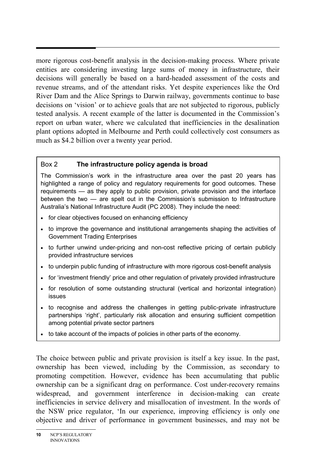more rigorous cost-benefit analysis in the decision-making process. Where private entities are considering investing large sums of money in infrastructure, their decisions will generally be based on a hard-headed assessment of the costs and revenue streams, and of the attendant risks. Yet despite experiences like the Ord River Dam and the Alice Springs to Darwin railway, governments continue to base decisions on 'vision' or to achieve goals that are not subjected to rigorous, publicly tested analysis. A recent example of the latter is documented in the Commission's report on urban water, where we calculated that inefficiencies in the desalination plant options adopted in Melbourne and Perth could collectively cost consumers as much as \$4.2 billion over a twenty year period.

#### Box 2 **The infrastructure policy agenda is broad**

The Commission's work in the infrastructure area over the past 20 years has highlighted a range of policy and regulatory requirements for good outcomes. These requirements — as they apply to public provision, private provision and the interface between the two — are spelt out in the Commission's submission to Infrastructure Australia's National Infrastructure Audit (PC 2008). They include the need:

- for clear objectives focused on enhancing efficiency
- to improve the governance and institutional arrangements shaping the activities of Government Trading Enterprises
- to further unwind under-pricing and non-cost reflective pricing of certain publicly provided infrastructure services
- to underpin public funding of infrastructure with more rigorous cost-benefit analysis
- for 'investment friendly' price and other regulation of privately provided infrastructure
- for resolution of some outstanding structural (vertical and horizontal integration) issues
- to recognise and address the challenges in getting public-private infrastructure partnerships 'right', particularly risk allocation and ensuring sufficient competition among potential private sector partners
- to take account of the impacts of policies in other parts of the economy.

The choice between public and private provision is itself a key issue. In the past, ownership has been viewed, including by the Commission, as secondary to promoting competition. However, evidence has been accumulating that public ownership can be a significant drag on performance. Cost under-recovery remains widespread, and government interference in decision-making can create inefficiencies in service delivery and misallocation of investment. In the words of the NSW price regulator, 'In our experience, improving efficiency is only one objective and driver of performance in government businesses, and may not be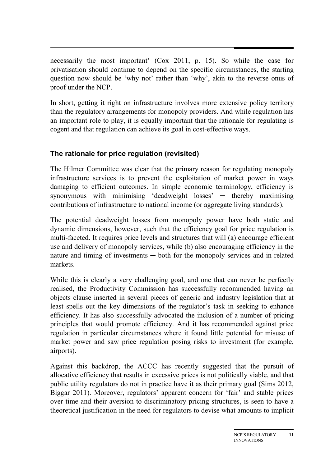necessarily the most important' (Cox 2011, p. 15). So while the case for privatisation should continue to depend on the specific circumstances, the starting question now should be 'why not' rather than 'why', akin to the reverse onus of proof under the NCP.

In short, getting it right on infrastructure involves more extensive policy territory than the regulatory arrangements for monopoly providers. And while regulation has an important role to play, it is equally important that the rationale for regulating is cogent and that regulation can achieve its goal in cost-effective ways.

#### **The rationale for price regulation (revisited)**

The Hilmer Committee was clear that the primary reason for regulating monopoly infrastructure services is to prevent the exploitation of market power in ways damaging to efficient outcomes. In simple economic terminology, efficiency is synonymous with minimising 'deadweight losses' — thereby maximising contributions of infrastructure to national income (or aggregate living standards).

The potential deadweight losses from monopoly power have both static and dynamic dimensions, however, such that the efficiency goal for price regulation is multi-faceted. It requires price levels and structures that will (a) encourage efficient use and delivery of monopoly services, while (b) also encouraging efficiency in the nature and timing of investments — both for the monopoly services and in related markets.

While this is clearly a very challenging goal, and one that can never be perfectly realised, the Productivity Commission has successfully recommended having an objects clause inserted in several pieces of generic and industry legislation that at least spells out the key dimensions of the regulator's task in seeking to enhance efficiency. It has also successfully advocated the inclusion of a number of pricing principles that would promote efficiency. And it has recommended against price regulation in particular circumstances where it found little potential for misuse of market power and saw price regulation posing risks to investment (for example, airports).

Against this backdrop, the ACCC has recently suggested that the pursuit of allocative efficiency that results in excessive prices is not politically viable, and that public utility regulators do not in practice have it as their primary goal (Sims 2012, Biggar 2011). Moreover, regulators' apparent concern for 'fair' and stable prices over time and their aversion to discriminatory pricing structures, is seen to have a theoretical justification in the need for regulators to devise what amounts to implicit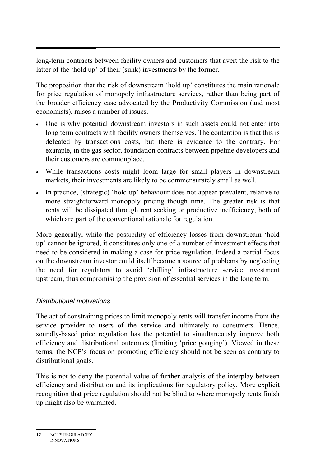long-term contracts between facility owners and customers that avert the risk to the latter of the 'hold up' of their (sunk) investments by the former.

The proposition that the risk of downstream 'hold up' constitutes the main rationale for price regulation of monopoly infrastructure services, rather than being part of the broader efficiency case advocated by the Productivity Commission (and most economists), raises a number of issues.

- One is why potential downstream investors in such assets could not enter into long term contracts with facility owners themselves. The contention is that this is defeated by transactions costs, but there is evidence to the contrary. For example, in the gas sector, foundation contracts between pipeline developers and their customers are commonplace.
- While transactions costs might loom large for small players in downstream markets, their investments are likely to be commensurately small as well.
- In practice, (strategic) 'hold up' behaviour does not appear prevalent, relative to more straightforward monopoly pricing though time. The greater risk is that rents will be dissipated through rent seeking or productive inefficiency, both of which are part of the conventional rationale for regulation.

More generally, while the possibility of efficiency losses from downstream 'hold up' cannot be ignored, it constitutes only one of a number of investment effects that need to be considered in making a case for price regulation. Indeed a partial focus on the downstream investor could itself become a source of problems by neglecting the need for regulators to avoid 'chilling' infrastructure service investment upstream, thus compromising the provision of essential services in the long term.

#### *Distributional motivations*

The act of constraining prices to limit monopoly rents will transfer income from the service provider to users of the service and ultimately to consumers. Hence, soundly-based price regulation has the potential to simultaneously improve both efficiency and distributional outcomes (limiting 'price gouging'). Viewed in these terms, the NCP's focus on promoting efficiency should not be seen as contrary to distributional goals.

This is not to deny the potential value of further analysis of the interplay between efficiency and distribution and its implications for regulatory policy. More explicit recognition that price regulation should not be blind to where monopoly rents finish up might also be warranted.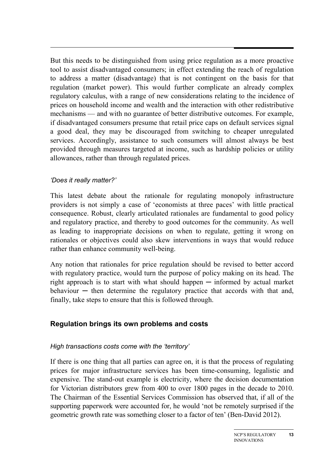But this needs to be distinguished from using price regulation as a more proactive tool to assist disadvantaged consumers; in effect extending the reach of regulation to address a matter (disadvantage) that is not contingent on the basis for that regulation (market power). This would further complicate an already complex regulatory calculus, with a range of new considerations relating to the incidence of prices on household income and wealth and the interaction with other redistributive mechanisms — and with no guarantee of better distributive outcomes. For example, if disadvantaged consumers presume that retail price caps on default services signal a good deal, they may be discouraged from switching to cheaper unregulated services. Accordingly, assistance to such consumers will almost always be best provided through measures targeted at income, such as hardship policies or utility allowances, rather than through regulated prices.

#### *'Does it really matter?'*

This latest debate about the rationale for regulating monopoly infrastructure providers is not simply a case of 'economists at three paces' with little practical consequence. Robust, clearly articulated rationales are fundamental to good policy and regulatory practice, and thereby to good outcomes for the community. As well as leading to inappropriate decisions on when to regulate, getting it wrong on rationales or objectives could also skew interventions in ways that would reduce rather than enhance community well-being.

Any notion that rationales for price regulation should be revised to better accord with regulatory practice, would turn the purpose of policy making on its head. The right approach is to start with what should happen  $-$  informed by actual market  $behavior$  — then determine the regulatory practice that accords with that and, finally, take steps to ensure that this is followed through.

#### **Regulation brings its own problems and costs**

#### *High transactions costs come with the 'territory'*

If there is one thing that all parties can agree on, it is that the process of regulating prices for major infrastructure services has been time-consuming, legalistic and expensive. The stand-out example is electricity, where the decision documentation for Victorian distributors grew from 400 to over 1800 pages in the decade to 2010. The Chairman of the Essential Services Commission has observed that, if all of the supporting paperwork were accounted for, he would 'not be remotely surprised if the geometric growth rate was something closer to a factor of ten' (Ben-David 2012).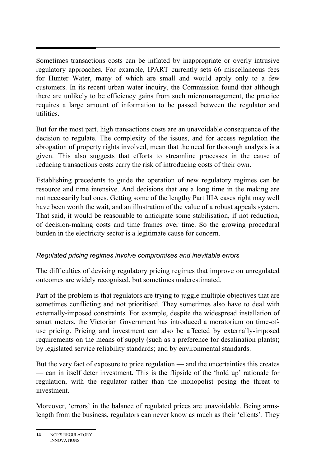Sometimes transactions costs can be inflated by inappropriate or overly intrusive regulatory approaches. For example, IPART currently sets 66 miscellaneous fees for Hunter Water, many of which are small and would apply only to a few customers. In its recent urban water inquiry, the Commission found that although there are unlikely to be efficiency gains from such micromanagement, the practice requires a large amount of information to be passed between the regulator and utilities.

But for the most part, high transactions costs are an unavoidable consequence of the decision to regulate. The complexity of the issues, and for access regulation the abrogation of property rights involved, mean that the need for thorough analysis is a given. This also suggests that efforts to streamline processes in the cause of reducing transactions costs carry the risk of introducing costs of their own.

Establishing precedents to guide the operation of new regulatory regimes can be resource and time intensive. And decisions that are a long time in the making are not necessarily bad ones. Getting some of the lengthy Part IIIA cases right may well have been worth the wait, and an illustration of the value of a robust appeals system. That said, it would be reasonable to anticipate some stabilisation, if not reduction, of decision-making costs and time frames over time. So the growing procedural burden in the electricity sector is a legitimate cause for concern.

#### *Regulated pricing regimes involve compromises and inevitable errors*

The difficulties of devising regulatory pricing regimes that improve on unregulated outcomes are widely recognised, but sometimes underestimated.

Part of the problem is that regulators are trying to juggle multiple objectives that are sometimes conflicting and not prioritised. They sometimes also have to deal with externally-imposed constraints. For example, despite the widespread installation of smart meters, the Victorian Government has introduced a moratorium on time-ofuse pricing. Pricing and investment can also be affected by externally-imposed requirements on the means of supply (such as a preference for desalination plants); by legislated service reliability standards; and by environmental standards.

But the very fact of exposure to price regulation — and the uncertainties this creates — can in itself deter investment. This is the flipside of the 'hold up' rationale for regulation, with the regulator rather than the monopolist posing the threat to investment.

Moreover, 'errors' in the balance of regulated prices are unavoidable. Being armslength from the business, regulators can never know as much as their 'clients'. They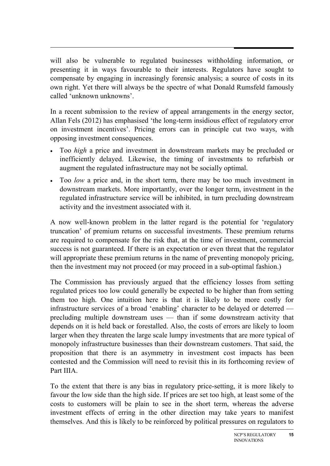will also be vulnerable to regulated businesses withholding information, or presenting it in ways favourable to their interests. Regulators have sought to compensate by engaging in increasingly forensic analysis; a source of costs in its own right. Yet there will always be the spectre of what Donald Rumsfeld famously called 'unknown unknowns'.

In a recent submission to the review of appeal arrangements in the energy sector, Allan Fels (2012) has emphasised 'the long-term insidious effect of regulatory error on investment incentives'. Pricing errors can in principle cut two ways, with opposing investment consequences.

- Too *high* a price and investment in downstream markets may be precluded or inefficiently delayed. Likewise, the timing of investments to refurbish or augment the regulated infrastructure may not be socially optimal.
- Too *low* a price and, in the short term, there may be too much investment in downstream markets. More importantly, over the longer term, investment in the regulated infrastructure service will be inhibited, in turn precluding downstream activity and the investment associated with it.

A now well-known problem in the latter regard is the potential for 'regulatory truncation' of premium returns on successful investments. These premium returns are required to compensate for the risk that, at the time of investment, commercial success is not guaranteed. If there is an expectation or even threat that the regulator will appropriate these premium returns in the name of preventing monopoly pricing, then the investment may not proceed (or may proceed in a sub-optimal fashion.)

The Commission has previously argued that the efficiency losses from setting regulated prices too low could generally be expected to be higher than from setting them too high. One intuition here is that it is likely to be more costly for infrastructure services of a broad 'enabling' character to be delayed or deterred precluding multiple downstream uses — than if some downstream activity that depends on it is held back or forestalled. Also, the costs of errors are likely to loom larger when they threaten the large scale lumpy investments that are more typical of monopoly infrastructure businesses than their downstream customers. That said, the proposition that there is an asymmetry in investment cost impacts has been contested and the Commission will need to revisit this in its forthcoming review of Part IIIA.

To the extent that there is any bias in regulatory price-setting, it is more likely to favour the low side than the high side. If prices are set too high, at least some of the costs to customers will be plain to see in the short term, whereas the adverse investment effects of erring in the other direction may take years to manifest themselves. And this is likely to be reinforced by political pressures on regulators to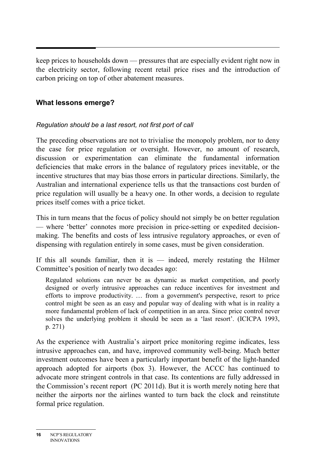keep prices to households down — pressures that are especially evident right now in the electricity sector, following recent retail price rises and the introduction of carbon pricing on top of other abatement measures.

#### **What lessons emerge?**

#### *Regulation should be a last resort, not first port of call*

The preceding observations are not to trivialise the monopoly problem, nor to deny the case for price regulation or oversight. However, no amount of research, discussion or experimentation can eliminate the fundamental information deficiencies that make errors in the balance of regulatory prices inevitable, or the incentive structures that may bias those errors in particular directions. Similarly, the Australian and international experience tells us that the transactions cost burden of price regulation will usually be a heavy one. In other words, a decision to regulate prices itself comes with a price ticket.

This in turn means that the focus of policy should not simply be on better regulation — where 'better' connotes more precision in price-setting or expedited decisionmaking. The benefits and costs of less intrusive regulatory approaches, or even of dispensing with regulation entirely in some cases, must be given consideration.

If this all sounds familiar, then it is  $-$  indeed, merely restating the Hilmer Committee's position of nearly two decades ago:

Regulated solutions can never be as dynamic as market competition, and poorly designed or overly intrusive approaches can reduce incentives for investment and efforts to improve productivity. … from a government's perspective, resort to price control might be seen as an easy and popular way of dealing with what is in reality a more fundamental problem of lack of competition in an area. Since price control never solves the underlying problem it should be seen as a 'last resort'. (ICICPA 1993, p. 271)

As the experience with Australia's airport price monitoring regime indicates, less intrusive approaches can, and have, improved community well-being. Much better investment outcomes have been a particularly important benefit of the light-handed approach adopted for airports (box 3). However, the ACCC has continued to advocate more stringent controls in that case. Its contentions are fully addressed in the Commission's recent report (PC 2011d). But it is worth merely noting here that neither the airports nor the airlines wanted to turn back the clock and reinstitute formal price regulation.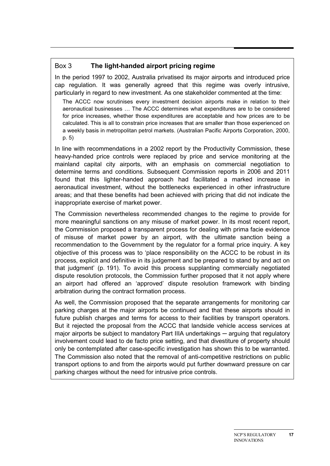#### Box 3 **The light-handed airport pricing regime**

In the period 1997 to 2002, Australia privatised its major airports and introduced price cap regulation. It was generally agreed that this regime was overly intrusive, particularly in regard to new investment. As one stakeholder commented at the time:

The ACCC now scrutinises every investment decision airports make in relation to their aeronautical businesses … The ACCC determines what expenditures are to be considered for price increases, whether those expenditures are acceptable and how prices are to be calculated. This is all to constrain price increases that are smaller than those experienced on a weekly basis in metropolitan petrol markets. (Australian Pacific Airports Corporation, 2000, p. 5)

In line with recommendations in a 2002 report by the Productivity Commission, these heavy-handed price controls were replaced by price and service monitoring at the mainland capital city airports, with an emphasis on commercial negotiation to determine terms and conditions. Subsequent Commission reports in 2006 and 2011 found that this lighter-handed approach had facilitated a marked increase in aeronautical investment, without the bottlenecks experienced in other infrastructure areas; and that these benefits had been achieved with pricing that did not indicate the inappropriate exercise of market power.

The Commission nevertheless recommended changes to the regime to provide for more meaningful sanctions on any misuse of market power. In its most recent report, the Commission proposed a transparent process for dealing with prima facie evidence of misuse of market power by an airport, with the ultimate sanction being a recommendation to the Government by the regulator for a formal price inquiry. A key objective of this process was to 'place responsibility on the ACCC to be robust in its process, explicit and definitive in its judgement and be prepared to stand by and act on that judgment' (p. 191). To avoid this process supplanting commercially negotiated dispute resolution protocols, the Commission further proposed that it not apply where an airport had offered an 'approved' dispute resolution framework with binding arbitration during the contract formation process.

As well, the Commission proposed that the separate arrangements for monitoring car parking charges at the major airports be continued and that these airports should in future publish charges and terms for access to their facilities by transport operators. But it rejected the proposal from the ACCC that landside vehicle access services at major airports be subject to mandatory Part IIIA undertakings — arguing that regulatory involvement could lead to de facto price setting, and that divestiture of property should only be contemplated after case-specific investigation has shown this to be warranted. The Commission also noted that the removal of anti-competitive restrictions on public transport options to and from the airports would put further downward pressure on car parking charges without the need for intrusive price controls.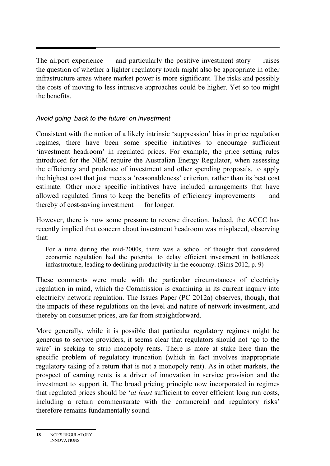The airport experience — and particularly the positive investment story — raises the question of whether a lighter regulatory touch might also be appropriate in other infrastructure areas where market power is more significant. The risks and possibly the costs of moving to less intrusive approaches could be higher. Yet so too might the benefits.

#### *Avoid going 'back to the future' on investment*

Consistent with the notion of a likely intrinsic 'suppression' bias in price regulation regimes, there have been some specific initiatives to encourage sufficient 'investment headroom' in regulated prices. For example, the price setting rules introduced for the NEM require the Australian Energy Regulator, when assessing the efficiency and prudence of investment and other spending proposals, to apply the highest cost that just meets a 'reasonableness' criterion, rather than its best cost estimate. Other more specific initiatives have included arrangements that have allowed regulated firms to keep the benefits of efficiency improvements — and thereby of cost-saving investment — for longer.

However, there is now some pressure to reverse direction. Indeed, the ACCC has recently implied that concern about investment headroom was misplaced, observing that:

For a time during the mid-2000s, there was a school of thought that considered economic regulation had the potential to delay efficient investment in bottleneck infrastructure, leading to declining productivity in the economy. (Sims 2012, p. 9)

These comments were made with the particular circumstances of electricity regulation in mind, which the Commission is examining in its current inquiry into electricity network regulation. The Issues Paper (PC 2012a) observes, though, that the impacts of these regulations on the level and nature of network investment, and thereby on consumer prices, are far from straightforward.

More generally, while it is possible that particular regulatory regimes might be generous to service providers, it seems clear that regulators should not 'go to the wire' in seeking to strip monopoly rents. There is more at stake here than the specific problem of regulatory truncation (which in fact involves inappropriate regulatory taking of a return that is not a monopoly rent). As in other markets, the prospect of earning rents is a driver of innovation in service provision and the investment to support it. The broad pricing principle now incorporated in regimes that regulated prices should be '*at least* sufficient to cover efficient long run costs, including a return commensurate with the commercial and regulatory risks' therefore remains fundamentally sound.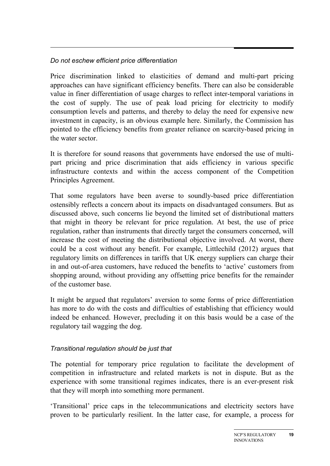#### *Do not eschew efficient price differentiation*

Price discrimination linked to elasticities of demand and multi-part pricing approaches can have significant efficiency benefits. There can also be considerable value in finer differentiation of usage charges to reflect inter-temporal variations in the cost of supply. The use of peak load pricing for electricity to modify consumption levels and patterns, and thereby to delay the need for expensive new investment in capacity, is an obvious example here. Similarly, the Commission has pointed to the efficiency benefits from greater reliance on scarcity-based pricing in the water sector.

It is therefore for sound reasons that governments have endorsed the use of multipart pricing and price discrimination that aids efficiency in various specific infrastructure contexts and within the access component of the Competition Principles Agreement.

That some regulators have been averse to soundly-based price differentiation ostensibly reflects a concern about its impacts on disadvantaged consumers. But as discussed above, such concerns lie beyond the limited set of distributional matters that might in theory be relevant for price regulation. At best, the use of price regulation, rather than instruments that directly target the consumers concerned, will increase the cost of meeting the distributional objective involved. At worst, there could be a cost without any benefit. For example, Littlechild (2012) argues that regulatory limits on differences in tariffs that UK energy suppliers can charge their in and out-of-area customers, have reduced the benefits to 'active' customers from shopping around, without providing any offsetting price benefits for the remainder of the customer base.

It might be argued that regulators' aversion to some forms of price differentiation has more to do with the costs and difficulties of establishing that efficiency would indeed be enhanced. However, precluding it on this basis would be a case of the regulatory tail wagging the dog.

#### *Transitional regulation should be just that*

The potential for temporary price regulation to facilitate the development of competition in infrastructure and related markets is not in dispute. But as the experience with some transitional regimes indicates, there is an ever-present risk that they will morph into something more permanent.

'Transitional' price caps in the telecommunications and electricity sectors have proven to be particularly resilient. In the latter case, for example, a process for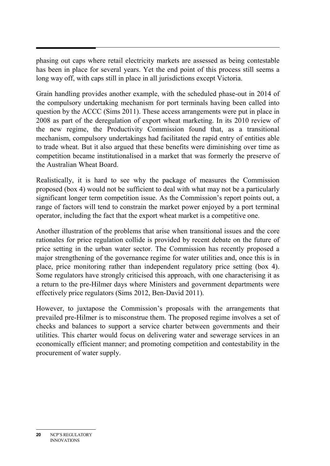phasing out caps where retail electricity markets are assessed as being contestable has been in place for several years. Yet the end point of this process still seems a long way off, with caps still in place in all jurisdictions except Victoria.

Grain handling provides another example, with the scheduled phase-out in 2014 of the compulsory undertaking mechanism for port terminals having been called into question by the ACCC (Sims 2011). These access arrangements were put in place in 2008 as part of the deregulation of export wheat marketing. In its 2010 review of the new regime, the Productivity Commission found that, as a transitional mechanism, compulsory undertakings had facilitated the rapid entry of entities able to trade wheat. But it also argued that these benefits were diminishing over time as competition became institutionalised in a market that was formerly the preserve of the Australian Wheat Board.

Realistically, it is hard to see why the package of measures the Commission proposed (box 4) would not be sufficient to deal with what may not be a particularly significant longer term competition issue. As the Commission's report points out, a range of factors will tend to constrain the market power enjoyed by a port terminal operator, including the fact that the export wheat market is a competitive one.

Another illustration of the problems that arise when transitional issues and the core rationales for price regulation collide is provided by recent debate on the future of price setting in the urban water sector. The Commission has recently proposed a major strengthening of the governance regime for water utilities and, once this is in place, price monitoring rather than independent regulatory price setting (box 4). Some regulators have strongly criticised this approach, with one characterising it as a return to the pre-Hilmer days where Ministers and government departments were effectively price regulators (Sims 2012, Ben-David 2011).

However, to juxtapose the Commission's proposals with the arrangements that prevailed pre-Hilmer is to misconstrue them. The proposed regime involves a set of checks and balances to support a service charter between governments and their utilities. This charter would focus on delivering water and sewerage services in an economically efficient manner; and promoting competition and contestability in the procurement of water supply.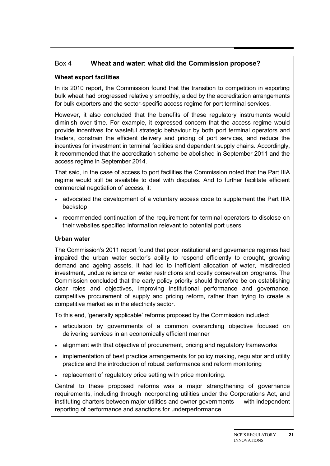#### Box 4 **Wheat and water: what did the Commission propose?**

#### **Wheat export facilities**

In its 2010 report, the Commission found that the transition to competition in exporting bulk wheat had progressed relatively smoothly, aided by the accreditation arrangements for bulk exporters and the sector-specific access regime for port terminal services.

However, it also concluded that the benefits of these regulatory instruments would diminish over time. For example, it expressed concern that the access regime would provide incentives for wasteful strategic behaviour by both port terminal operators and traders, constrain the efficient delivery and pricing of port services, and reduce the incentives for investment in terminal facilities and dependent supply chains. Accordingly, it recommended that the accreditation scheme be abolished in September 2011 and the access regime in September 2014.

That said, in the case of access to port facilities the Commission noted that the Part IIIA regime would still be available to deal with disputes. And to further facilitate efficient commercial negotiation of access, it:

- advocated the development of a voluntary access code to supplement the Part IIIA backstop
- recommended continuation of the requirement for terminal operators to disclose on their websites specified information relevant to potential port users.

#### **Urban water**

The Commission's 2011 report found that poor institutional and governance regimes had impaired the urban water sector's ability to respond efficiently to drought, growing demand and ageing assets. It had led to inefficient allocation of water, misdirected investment, undue reliance on water restrictions and costly conservation programs. The Commission concluded that the early policy priority should therefore be on establishing clear roles and objectives, improving institutional performance and governance, competitive procurement of supply and pricing reform, rather than trying to create a competitive market as in the electricity sector.

To this end, 'generally applicable' reforms proposed by the Commission included:

- articulation by governments of a common overarching objective focused on delivering services in an economically efficient manner
- alignment with that objective of procurement, pricing and regulatory frameworks
- implementation of best practice arrangements for policy making, regulator and utility practice and the introduction of robust performance and reform monitoring
- replacement of regulatory price setting with price monitoring.

Central to these proposed reforms was a major strengthening of governance requirements, including through incorporating utilities under the Corporations Act, and instituting charters between major utilities and owner governments — with independent reporting of performance and sanctions for underperformance.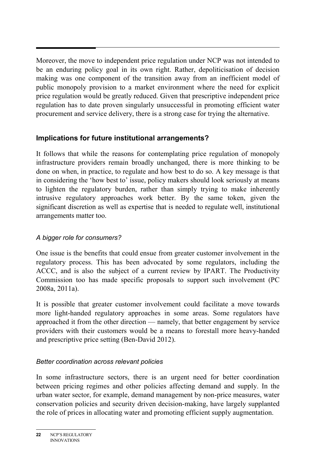Moreover, the move to independent price regulation under NCP was not intended to be an enduring policy goal in its own right. Rather, depoliticisation of decision making was one component of the transition away from an inefficient model of public monopoly provision to a market environment where the need for explicit price regulation would be greatly reduced. Given that prescriptive independent price regulation has to date proven singularly unsuccessful in promoting efficient water procurement and service delivery, there is a strong case for trying the alternative.

#### **Implications for future institutional arrangements?**

It follows that while the reasons for contemplating price regulation of monopoly infrastructure providers remain broadly unchanged, there is more thinking to be done on when, in practice, to regulate and how best to do so. A key message is that in considering the 'how best to' issue, policy makers should look seriously at means to lighten the regulatory burden, rather than simply trying to make inherently intrusive regulatory approaches work better. By the same token, given the significant discretion as well as expertise that is needed to regulate well, institutional arrangements matter too.

#### *A bigger role for consumers?*

One issue is the benefits that could ensue from greater customer involvement in the regulatory process. This has been advocated by some regulators, including the ACCC, and is also the subject of a current review by IPART. The Productivity Commission too has made specific proposals to support such involvement (PC 2008a, 2011a).

It is possible that greater customer involvement could facilitate a move towards more light-handed regulatory approaches in some areas. Some regulators have approached it from the other direction — namely, that better engagement by service providers with their customers would be a means to forestall more heavy-handed and prescriptive price setting (Ben-David 2012).

#### *Better coordination across relevant policies*

In some infrastructure sectors, there is an urgent need for better coordination between pricing regimes and other policies affecting demand and supply. In the urban water sector, for example, demand management by non-price measures, water conservation policies and security driven decision-making, have largely supplanted the role of prices in allocating water and promoting efficient supply augmentation.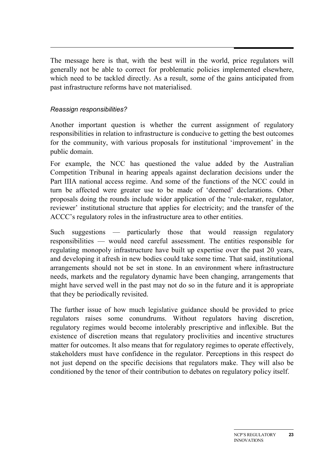The message here is that, with the best will in the world, price regulators will generally not be able to correct for problematic policies implemented elsewhere, which need to be tackled directly. As a result, some of the gains anticipated from past infrastructure reforms have not materialised.

#### *Reassign responsibilities?*

Another important question is whether the current assignment of regulatory responsibilities in relation to infrastructure is conducive to getting the best outcomes for the community, with various proposals for institutional 'improvement' in the public domain.

For example, the NCC has questioned the value added by the Australian Competition Tribunal in hearing appeals against declaration decisions under the Part IIIA national access regime. And some of the functions of the NCC could in turn be affected were greater use to be made of 'deemed' declarations. Other proposals doing the rounds include wider application of the 'rule-maker, regulator, reviewer' institutional structure that applies for electricity; and the transfer of the ACCC's regulatory roles in the infrastructure area to other entities.

Such suggestions — particularly those that would reassign regulatory responsibilities — would need careful assessment. The entities responsible for regulating monopoly infrastructure have built up expertise over the past 20 years, and developing it afresh in new bodies could take some time. That said, institutional arrangements should not be set in stone. In an environment where infrastructure needs, markets and the regulatory dynamic have been changing, arrangements that might have served well in the past may not do so in the future and it is appropriate that they be periodically revisited.

The further issue of how much legislative guidance should be provided to price regulators raises some conundrums. Without regulators having discretion, regulatory regimes would become intolerably prescriptive and inflexible. But the existence of discretion means that regulatory proclivities and incentive structures matter for outcomes. It also means that for regulatory regimes to operate effectively, stakeholders must have confidence in the regulator. Perceptions in this respect do not just depend on the specific decisions that regulators make. They will also be conditioned by the tenor of their contribution to debates on regulatory policy itself.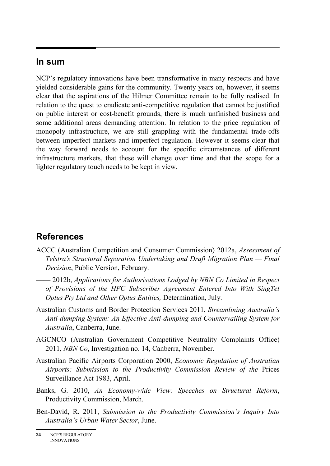#### **In sum**

NCP's regulatory innovations have been transformative in many respects and have yielded considerable gains for the community. Twenty years on, however, it seems clear that the aspirations of the Hilmer Committee remain to be fully realised. In relation to the quest to eradicate anti-competitive regulation that cannot be justified on public interest or cost-benefit grounds, there is much unfinished business and some additional areas demanding attention. In relation to the price regulation of monopoly infrastructure, we are still grappling with the fundamental trade-offs between imperfect markets and imperfect regulation. However it seems clear that the way forward needs to account for the specific circumstances of different infrastructure markets, that these will change over time and that the scope for a lighter regulatory touch needs to be kept in view.

### **References**

- ACCC (Australian Competition and Consumer Commission) 2012a, *Assessment of Telstra's Structural Separation Undertaking and Draft Migration Plan — Final Decision*, Public Version, February.
	- —— 2012b, *Applications for Authorisations Lodged by NBN Co Limited in Respect of Provisions of the HFC Subscriber Agreement Entered Into With SingTel Optus Pty Ltd and Other Optus Entities,* Determination, July.
- Australian Customs and Border Protection Services 2011, *Streamlining Australia's Anti-dumping System: An Effective Anti-dumping and Countervailing System for Australia*, Canberra, June.
- AGCNCO (Australian Government Competitive Neutrality Complaints Office) 2011, *NBN Co*, Investigation no. 14, Canberra, November.
- Australian Pacific Airports Corporation 2000, *Economic Regulation of Australian Airports: Submission to the Productivity Commission Review of the* Prices Surveillance Act 1983, April.
- Banks, G. 2010, *An Economy-wide View: Speeches on Structural Reform*, Productivity Commission, March.
- Ben-David, R. 2011, *Submission to the Productivity Commission's Inquiry Into Australia's Urban Water Sector*, June.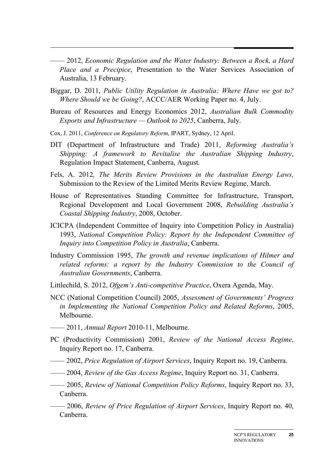—— 2012, *Economic Regulation and the Water Industry: Between a Rock, a Hard Place and a Precipice*, Presentation to the Water Services Association of Australia, 13 February.

- Biggar, D. 2011, *Public Utility Regulation in Australia: Where Have we got to? Where Should we be Going?*, ACCC/AER Working Paper no. 4, July.
- Bureau of Resources and Energy Economics 2012, *Australian Bulk Commodity Exports and Infrastructure — Outlook to 2025*, Canberra, July.
- Cox, J. 2011, *Conference on Regulatory Reform*, IPART, Sydney, 12 April.
- DIT (Department of Infrastructure and Trade) 2011, *Reforming Australia's Shipping: A framework to Revitalise the Australian Shipping Industry*, Regulation Impact Statement, Canberra, August.
- Fels, A. 2012*, The Merits Review Provisions in the Australian Energy Laws,*  Submission to the Review of the Limited Merits Review Regime, March.
- House of Representatives Standing Committee for Infrastructure, Transport, Regional Development and Local Government 2008, *Rebuilding Australia's Coastal Shipping Industry*, 2008, October.
- ICICPA (Independent Committee of Inquiry into Competition Policy in Australia) 1993, *National Competition Policy: Report by the Independent Committee of Inquiry into Competition Policy in Australia*, Canberra.
- Industry Commission 1995, *The growth and revenue implications of Hilmer and related reforms: a report by the Industry Commission to the Council of Australian Governments*, Canberra.
- Littlechild, S. 2012, *Ofgem's Anti-competitive Practice*, Oxera Agenda, May.
- NCC (National Competition Council) 2005, *Assessment of Governments' Progress in Implementing the National Competition Policy and Related Reforms*, 2005, Melbourne.
- —— 2011, *Annual Report* 2010-11, Melbourne.
- PC (Productivity Commission) 2001, *Review of the National Access Regime*, Inquiry Report no. 17, Canberra.
- —— 2002, *Price Regulation of Airport Services*, Inquiry Report no. 19, Canberra.
- —— 2004, *Review of the Gas Access Regime*, Inquiry Report no. 31, Canberra.
- —— 2005, *Review of National Competition Policy Reforms*, Inquiry Report no. 33, Canberra.
	- —— 2006, *Review of Price Regulation of Airport Services*, Inquiry Report no. 40, Canberra.